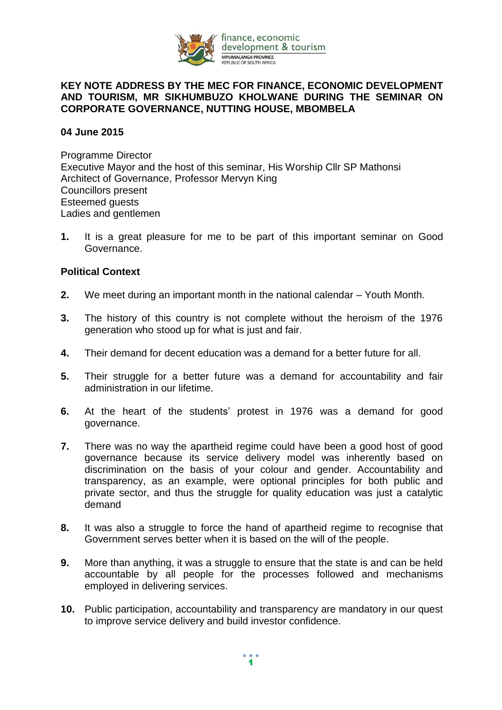

## **KEY NOTE ADDRESS BY THE MEC FOR FINANCE, ECONOMIC DEVELOPMENT AND TOURISM, MR SIKHUMBUZO KHOLWANE DURING THE SEMINAR ON CORPORATE GOVERNANCE, NUTTING HOUSE, MBOMBELA**

## **04 June 2015**

Programme Director Executive Mayor and the host of this seminar, His Worship Cllr SP Mathonsi Architect of Governance, Professor Mervyn King Councillors present Esteemed guests Ladies and gentlemen

**1.** It is a great pleasure for me to be part of this important seminar on Good Governance.

## **Political Context**

- **2.** We meet during an important month in the national calendar Youth Month.
- **3.** The history of this country is not complete without the heroism of the 1976 generation who stood up for what is just and fair.
- **4.** Their demand for decent education was a demand for a better future for all.
- **5.** Their struggle for a better future was a demand for accountability and fair administration in our lifetime.
- **6.** At the heart of the students' protest in 1976 was a demand for good governance.
- **7.** There was no way the apartheid regime could have been a good host of good governance because its service delivery model was inherently based on discrimination on the basis of your colour and gender. Accountability and transparency, as an example, were optional principles for both public and private sector, and thus the struggle for quality education was just a catalytic demand
- **8.** It was also a struggle to force the hand of apartheid regime to recognise that Government serves better when it is based on the will of the people.
- **9.** More than anything, it was a struggle to ensure that the state is and can be held accountable by all people for the processes followed and mechanisms employed in delivering services.
- **10.** Public participation, accountability and transparency are mandatory in our quest to improve service delivery and build investor confidence.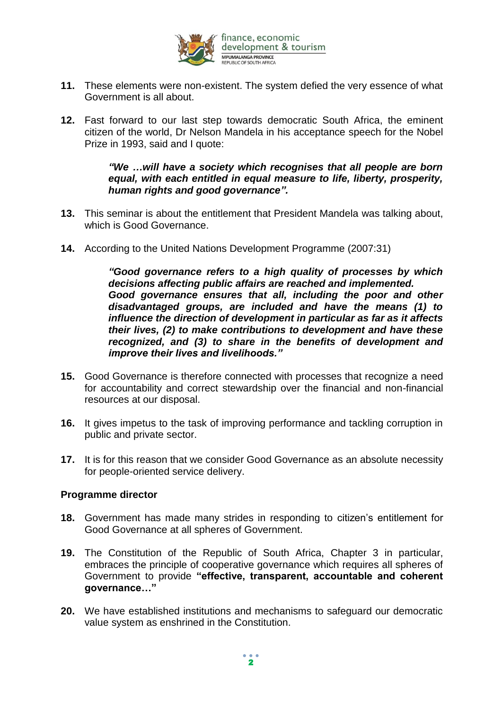

- **11.** These elements were non-existent. The system defied the very essence of what Government is all about.
- **12.** Fast forward to our last step towards democratic South Africa, the eminent citizen of the world, Dr Nelson Mandela in his acceptance speech for the Nobel Prize in 1993, said and I quote:

*"We …will have a society which recognises that all people are born equal, with each entitled in equal measure to life, liberty, prosperity, human rights and good governance".*

- **13.** This seminar is about the entitlement that President Mandela was talking about, which is Good Governance.
- **14.** According to the United Nations Development Programme (2007:31)

*"Good governance refers to a high quality of processes by which decisions affecting public affairs are reached and implemented. Good governance ensures that all, including the poor and other disadvantaged groups, are included and have the means (1) to influence the direction of development in particular as far as it affects their lives, (2) to make contributions to development and have these recognized, and (3) to share in the benefits of development and improve their lives and livelihoods."*

- **15.** Good Governance is therefore connected with processes that recognize a need for accountability and correct stewardship over the financial and non-financial resources at our disposal.
- **16.** It gives impetus to the task of improving performance and tackling corruption in public and private sector.
- **17.** It is for this reason that we consider Good Governance as an absolute necessity for people-oriented service delivery.

## **Programme director**

- **18.** Government has made many strides in responding to citizen's entitlement for Good Governance at all spheres of Government.
- **19.** The Constitution of the Republic of South Africa, Chapter 3 in particular, embraces the principle of cooperative governance which requires all spheres of Government to provide **"effective, transparent, accountable and coherent governance…"**
- **20.** We have established institutions and mechanisms to safeguard our democratic value system as enshrined in the Constitution.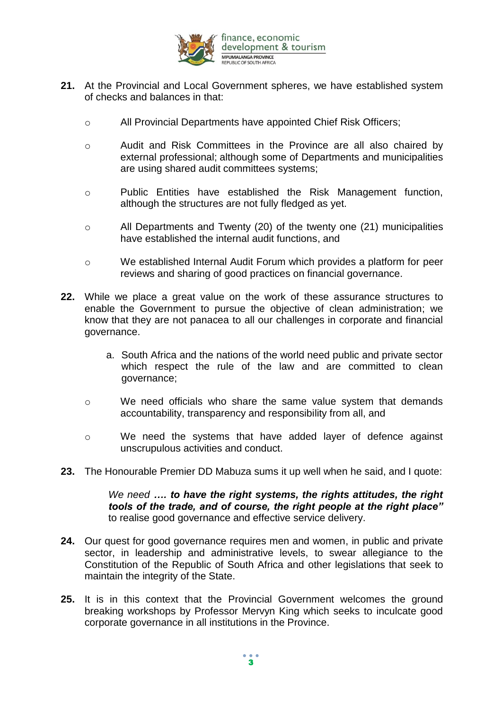

- **21.** At the Provincial and Local Government spheres, we have established system of checks and balances in that:
	- o All Provincial Departments have appointed Chief Risk Officers;
	- o Audit and Risk Committees in the Province are all also chaired by external professional; although some of Departments and municipalities are using shared audit committees systems;
	- o Public Entities have established the Risk Management function, although the structures are not fully fledged as yet.
	- o All Departments and Twenty (20) of the twenty one (21) municipalities have established the internal audit functions, and
	- o We established Internal Audit Forum which provides a platform for peer reviews and sharing of good practices on financial governance.
- **22.** While we place a great value on the work of these assurance structures to enable the Government to pursue the objective of clean administration; we know that they are not panacea to all our challenges in corporate and financial governance.
	- a. South Africa and the nations of the world need public and private sector which respect the rule of the law and are committed to clean governance;
	- o We need officials who share the same value system that demands accountability, transparency and responsibility from all, and
	- o We need the systems that have added layer of defence against unscrupulous activities and conduct.
- **23.** The Honourable Premier DD Mabuza sums it up well when he said, and I quote:

*We need …. to have the right systems, the rights attitudes, the right tools of the trade, and of course, the right people at the right place"* to realise good governance and effective service delivery.

- **24.** Our quest for good governance requires men and women, in public and private sector, in leadership and administrative levels, to swear allegiance to the Constitution of the Republic of South Africa and other legislations that seek to maintain the integrity of the State.
- **25.** It is in this context that the Provincial Government welcomes the ground breaking workshops by Professor Mervyn King which seeks to inculcate good corporate governance in all institutions in the Province.